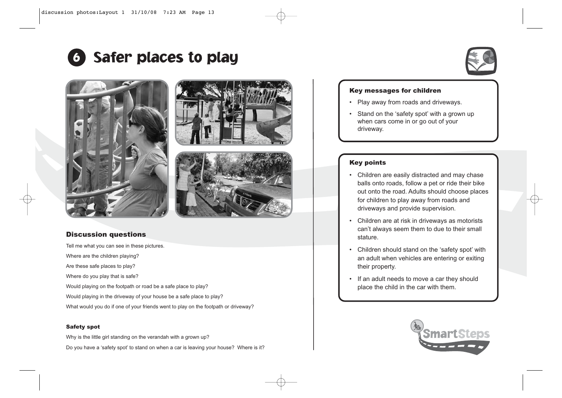

## <sup>6</sup> Safer places to play







### Discussion questions

Tell me what you can see in these pictures. Where are the children playing? Are these safe places to play? Where do you play that is safe?

Would playing on the footpath or road be a safe place to play?

Would playing in the driveway of your house be a safe place to play?

What would you do if one of your friends went to play on the footpath or driveway?

#### Safety spot

Why is the little girl standing on the verandah with a grown up?

Do you have a 'safety spot' to stand on when a car is leaving your house? Where is it?

#### Key messages for children

- Play away from roads and driveways.
- Stand on the 'safety spot' with a grown up when cars come in or go out of your driveway.

#### Key points

- Children are easily distracted and may chase balls onto roads, follow a pet or ride their bike out onto the road. Adults should choose places for children to play away from roads and driveways and provide supervision.
- Children are at risk in driveways as motorists can't always seem them to due to their small stature.
- Children should stand on the 'safety spot' with an adult when vehicles are entering or exiting their property.
- If an adult needs to move a car they should place the child in the car with them.